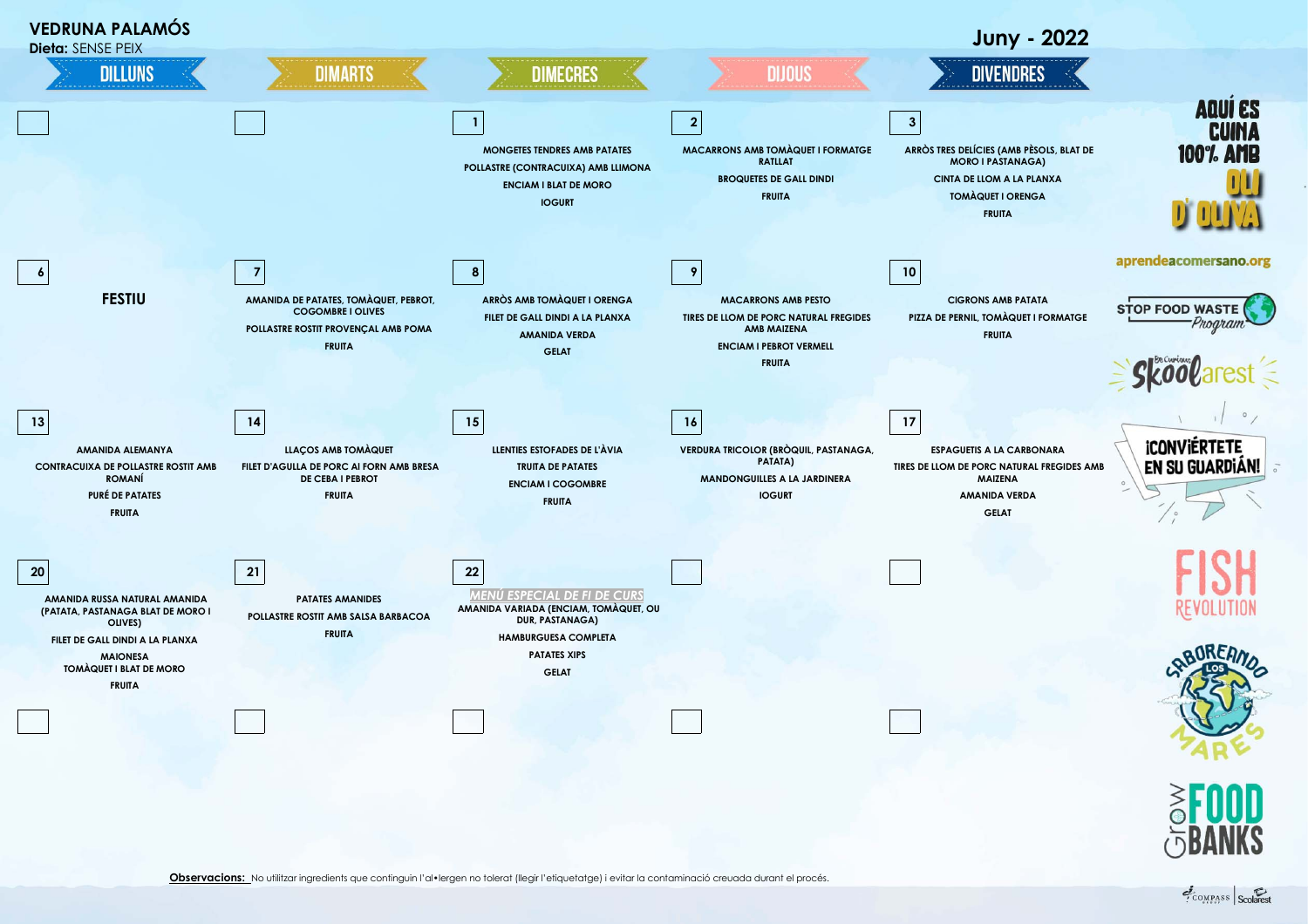